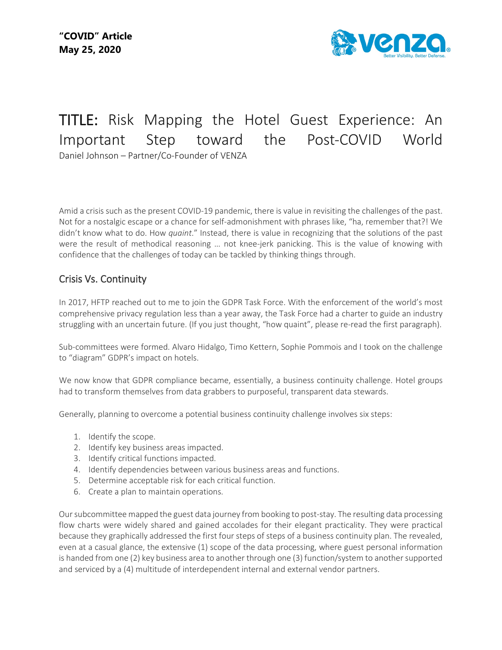

## TITLE: Risk Mapping the Hotel Guest Experience: An Important Step toward the Post-COVID World Daniel Johnson – Partner/Co-Founder of VENZA

Amid a crisis such as the present COVID-19 pandemic, there is value in revisiting the challenges of the past. Not for a nostalgic escape or a chance for self-admonishment with phrases like, "ha, remember that?! We didn't know what to do. How *quaint*." Instead, there is value in recognizing that the solutions of the past were the result of methodical reasoning … not knee-jerk panicking. This is the value of knowing with confidence that the challenges of today can be tackled by thinking things through.

## Crisis Vs. Continuity

In 2017, HFTP reached out to me to join the GDPR Task Force. With the enforcement of the world's most comprehensive privacy regulation less than a year away, the Task Force had a charter to guide an industry struggling with an uncertain future. (If you just thought, "how quaint", please re-read the first paragraph).

Sub-committees were formed. Alvaro Hidalgo, Timo Kettern, Sophie Pommois and I took on the challenge to "diagram" GDPR's impact on hotels.

We now know that GDPR compliance became, essentially, a business continuity challenge. Hotel groups had to transform themselves from data grabbers to purposeful, transparent data stewards.

Generally, planning to overcome a potential business continuity challenge involves six steps:

- 1. Identify the scope.
- 2. Identify key business areas impacted.
- 3. Identify critical functions impacted.
- 4. Identify dependencies between various business areas and functions.
- 5. Determine acceptable risk for each critical function.
- 6. Create a plan to maintain operations.

Our subcommittee mapped the guest data journey from booking to post-stay. The resulting data processing flow charts were widely shared and gained accolades for their elegant practicality. They were practical because they graphically addressed the first four steps of steps of a business continuity plan. The revealed, even at a casual glance, the extensive (1) scope of the data processing, where guest personal information is handed from one (2) key business area to another through one (3) function/system to another supported and serviced by a (4) multitude of interdependent internal and external vendor partners.